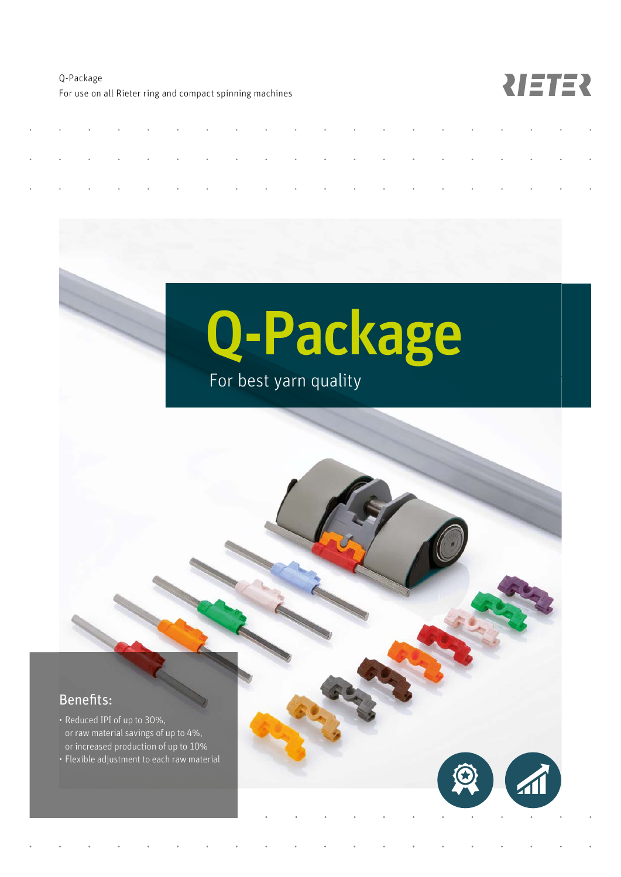Q-Package For use on all Rieter ring and compact spinning machines

NETER

# Q-Package

## For best yarn quality

#### Benefits:

- Reduced IPI of up to 30%, or raw material savings of up to 4%, or increased production of up to 10%
- Flexible adjustment to each raw material